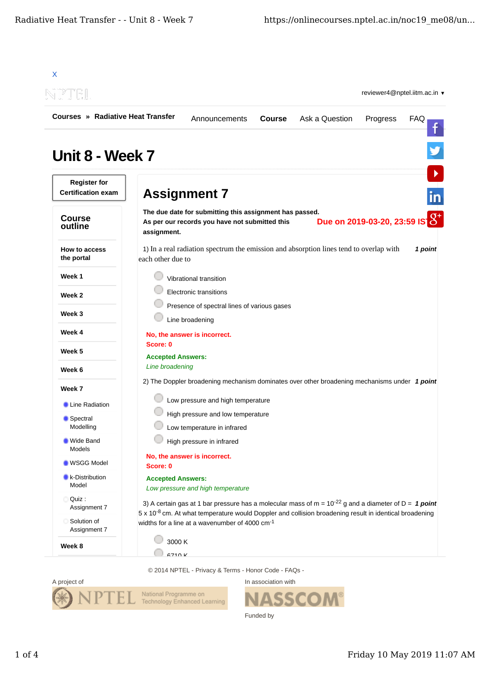| <b>Courses » Radiative Heat Transfer</b>         | Ask a Question<br>Announcements<br><b>Course</b><br>Progress<br><b>FAQ</b>                                                                                                                                                        |  |
|--------------------------------------------------|-----------------------------------------------------------------------------------------------------------------------------------------------------------------------------------------------------------------------------------|--|
|                                                  |                                                                                                                                                                                                                                   |  |
| Unit 8 - Week 7                                  |                                                                                                                                                                                                                                   |  |
| <b>Register for</b><br><b>Certification exam</b> | <b>Assignment 7</b>                                                                                                                                                                                                               |  |
| <b>Course</b><br>outline                         | The due date for submitting this assignment has passed.<br>Due on 2019-03-20, 23:59 IS 0<br>As per our records you have not submitted this<br>assignment.                                                                         |  |
| <b>How to access</b><br>the portal               | 1) In a real radiation spectrum the emission and absorption lines tend to overlap with<br>1 point<br>each other due to                                                                                                            |  |
| Week 1                                           | Vibrational transition                                                                                                                                                                                                            |  |
| Week 2                                           | <b>Electronic transitions</b>                                                                                                                                                                                                     |  |
| Week 3                                           | Presence of spectral lines of various gases                                                                                                                                                                                       |  |
| Week 4                                           | Line broadening                                                                                                                                                                                                                   |  |
|                                                  | No, the answer is incorrect.<br>Score: 0                                                                                                                                                                                          |  |
| Week 5                                           | <b>Accepted Answers:</b>                                                                                                                                                                                                          |  |
| Week 6                                           | Line broadening                                                                                                                                                                                                                   |  |
| Week 7                                           | 2) The Doppler broadening mechanism dominates over other broadening mechanisms under 1 point                                                                                                                                      |  |
| Line Radiation                                   | Low pressure and high temperature                                                                                                                                                                                                 |  |
| Spectral                                         | High pressure and low temperature                                                                                                                                                                                                 |  |
| Modelling<br><b>Wide Band</b>                    | Low temperature in infrared<br>High pressure in infrared                                                                                                                                                                          |  |
| Models                                           | No, the answer is incorrect.                                                                                                                                                                                                      |  |
| <b>WSGG Model</b>                                | Score: 0                                                                                                                                                                                                                          |  |
| <b>k-Distribution</b><br>Model                   | <b>Accepted Answers:</b><br>Low pressure and high temperature                                                                                                                                                                     |  |
| Quiz:<br>О<br>Assignment 7                       | 3) A certain gas at 1 bar pressure has a molecular mass of $m = 10^{-22}$ g and a diameter of $D = 1$ point<br>5 x 10 <sup>-8</sup> cm. At what temperature would Doppler and collision broadening result in identical broadening |  |
| Solution of<br>Assignment 7                      | widths for a line at a wavenumber of 4000 cm <sup>-1</sup>                                                                                                                                                                        |  |
|                                                  | 3000 K                                                                                                                                                                                                                            |  |

© 2014 NPTEL - Privacy & Terms - Honor Code - FAQs -



In association with **SSCOM®** Funded by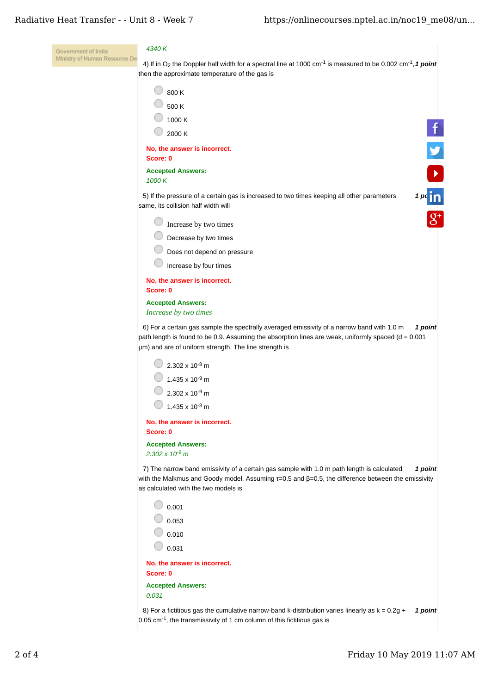| Ministry of Human Resource De<br>4) If in O <sub>2</sub> the Doppler half width for a spectral line at 1000 cm <sup>-1</sup> is measured to be 0.002 cm <sup>-1</sup> , 1 point<br>then the approximate temperature of the gas is<br>800 K<br>500 K<br>1000 K<br>2000 K<br>No, the answer is incorrect.<br>Score: 0<br><b>Accepted Answers:</b><br>1000 K<br>5) If the pressure of a certain gas is increased to two times keeping all other parameters<br>same, its collision half width will<br>Increase by two times<br>Decrease by two times<br>Does not depend on pressure<br>Increase by four times<br>No, the answer is incorrect.<br>Score: 0<br><b>Accepted Answers:</b><br>Increase by two times<br>6) For a certain gas sample the spectrally averaged emissivity of a narrow band with 1.0 m<br>1 point<br>path length is found to be 0.9. Assuming the absorption lines are weak, uniformly spaced $(d = 0.001)$<br>µm) and are of uniform strength. The line strength is<br>$\frac{1}{2}$ 2.302 x 10 <sup>-8</sup> m<br>$\vert$ 1.435 x 10 <sup>-9</sup> m<br>$2.302 \times 10^{-9}$ m<br>$1.435 \times 10^{-8}$ m |
|----------------------------------------------------------------------------------------------------------------------------------------------------------------------------------------------------------------------------------------------------------------------------------------------------------------------------------------------------------------------------------------------------------------------------------------------------------------------------------------------------------------------------------------------------------------------------------------------------------------------------------------------------------------------------------------------------------------------------------------------------------------------------------------------------------------------------------------------------------------------------------------------------------------------------------------------------------------------------------------------------------------------------------------------------------------------------------------------------------------------------------|
|                                                                                                                                                                                                                                                                                                                                                                                                                                                                                                                                                                                                                                                                                                                                                                                                                                                                                                                                                                                                                                                                                                                                  |
|                                                                                                                                                                                                                                                                                                                                                                                                                                                                                                                                                                                                                                                                                                                                                                                                                                                                                                                                                                                                                                                                                                                                  |
|                                                                                                                                                                                                                                                                                                                                                                                                                                                                                                                                                                                                                                                                                                                                                                                                                                                                                                                                                                                                                                                                                                                                  |
| $\mathbf{f}$                                                                                                                                                                                                                                                                                                                                                                                                                                                                                                                                                                                                                                                                                                                                                                                                                                                                                                                                                                                                                                                                                                                     |
|                                                                                                                                                                                                                                                                                                                                                                                                                                                                                                                                                                                                                                                                                                                                                                                                                                                                                                                                                                                                                                                                                                                                  |
| $\mathbf{D}$                                                                                                                                                                                                                                                                                                                                                                                                                                                                                                                                                                                                                                                                                                                                                                                                                                                                                                                                                                                                                                                                                                                     |
|                                                                                                                                                                                                                                                                                                                                                                                                                                                                                                                                                                                                                                                                                                                                                                                                                                                                                                                                                                                                                                                                                                                                  |
|                                                                                                                                                                                                                                                                                                                                                                                                                                                                                                                                                                                                                                                                                                                                                                                                                                                                                                                                                                                                                                                                                                                                  |
| $1 p c \overline{1} \overline{1}$                                                                                                                                                                                                                                                                                                                                                                                                                                                                                                                                                                                                                                                                                                                                                                                                                                                                                                                                                                                                                                                                                                |
|                                                                                                                                                                                                                                                                                                                                                                                                                                                                                                                                                                                                                                                                                                                                                                                                                                                                                                                                                                                                                                                                                                                                  |
|                                                                                                                                                                                                                                                                                                                                                                                                                                                                                                                                                                                                                                                                                                                                                                                                                                                                                                                                                                                                                                                                                                                                  |
|                                                                                                                                                                                                                                                                                                                                                                                                                                                                                                                                                                                                                                                                                                                                                                                                                                                                                                                                                                                                                                                                                                                                  |
|                                                                                                                                                                                                                                                                                                                                                                                                                                                                                                                                                                                                                                                                                                                                                                                                                                                                                                                                                                                                                                                                                                                                  |
|                                                                                                                                                                                                                                                                                                                                                                                                                                                                                                                                                                                                                                                                                                                                                                                                                                                                                                                                                                                                                                                                                                                                  |
|                                                                                                                                                                                                                                                                                                                                                                                                                                                                                                                                                                                                                                                                                                                                                                                                                                                                                                                                                                                                                                                                                                                                  |
|                                                                                                                                                                                                                                                                                                                                                                                                                                                                                                                                                                                                                                                                                                                                                                                                                                                                                                                                                                                                                                                                                                                                  |
|                                                                                                                                                                                                                                                                                                                                                                                                                                                                                                                                                                                                                                                                                                                                                                                                                                                                                                                                                                                                                                                                                                                                  |
|                                                                                                                                                                                                                                                                                                                                                                                                                                                                                                                                                                                                                                                                                                                                                                                                                                                                                                                                                                                                                                                                                                                                  |
|                                                                                                                                                                                                                                                                                                                                                                                                                                                                                                                                                                                                                                                                                                                                                                                                                                                                                                                                                                                                                                                                                                                                  |
|                                                                                                                                                                                                                                                                                                                                                                                                                                                                                                                                                                                                                                                                                                                                                                                                                                                                                                                                                                                                                                                                                                                                  |
|                                                                                                                                                                                                                                                                                                                                                                                                                                                                                                                                                                                                                                                                                                                                                                                                                                                                                                                                                                                                                                                                                                                                  |
|                                                                                                                                                                                                                                                                                                                                                                                                                                                                                                                                                                                                                                                                                                                                                                                                                                                                                                                                                                                                                                                                                                                                  |
| No, the answer is incorrect.                                                                                                                                                                                                                                                                                                                                                                                                                                                                                                                                                                                                                                                                                                                                                                                                                                                                                                                                                                                                                                                                                                     |
| Score: 0                                                                                                                                                                                                                                                                                                                                                                                                                                                                                                                                                                                                                                                                                                                                                                                                                                                                                                                                                                                                                                                                                                                         |
| <b>Accepted Answers:</b><br>$2.302 \times 10^{-9}$ m                                                                                                                                                                                                                                                                                                                                                                                                                                                                                                                                                                                                                                                                                                                                                                                                                                                                                                                                                                                                                                                                             |
| 7) The narrow band emissivity of a certain gas sample with 1.0 m path length is calculated<br>1 point<br>with the Malkmus and Goody model. Assuming $t=0.5$ and $\beta=0.5$ , the difference between the emissivity<br>as calculated with the two models is                                                                                                                                                                                                                                                                                                                                                                                                                                                                                                                                                                                                                                                                                                                                                                                                                                                                      |
|                                                                                                                                                                                                                                                                                                                                                                                                                                                                                                                                                                                                                                                                                                                                                                                                                                                                                                                                                                                                                                                                                                                                  |
| $\bigcirc$ 0.001                                                                                                                                                                                                                                                                                                                                                                                                                                                                                                                                                                                                                                                                                                                                                                                                                                                                                                                                                                                                                                                                                                                 |
| $\Box$ 0.053                                                                                                                                                                                                                                                                                                                                                                                                                                                                                                                                                                                                                                                                                                                                                                                                                                                                                                                                                                                                                                                                                                                     |
| $\bigcirc$ 0.010                                                                                                                                                                                                                                                                                                                                                                                                                                                                                                                                                                                                                                                                                                                                                                                                                                                                                                                                                                                                                                                                                                                 |
| 0.031                                                                                                                                                                                                                                                                                                                                                                                                                                                                                                                                                                                                                                                                                                                                                                                                                                                                                                                                                                                                                                                                                                                            |
| No, the answer is incorrect.<br>Score: 0                                                                                                                                                                                                                                                                                                                                                                                                                                                                                                                                                                                                                                                                                                                                                                                                                                                                                                                                                                                                                                                                                         |
| <b>Accepted Answers:</b>                                                                                                                                                                                                                                                                                                                                                                                                                                                                                                                                                                                                                                                                                                                                                                                                                                                                                                                                                                                                                                                                                                         |
| 0.031                                                                                                                                                                                                                                                                                                                                                                                                                                                                                                                                                                                                                                                                                                                                                                                                                                                                                                                                                                                                                                                                                                                            |
| 8) For a fictitious gas the cumulative narrow-band k-distribution varies linearly as $k = 0.2g +$<br>1 point<br>$0.05$ cm <sup>-1</sup> , the transmissivity of 1 cm column of this fictitious gas is                                                                                                                                                                                                                                                                                                                                                                                                                                                                                                                                                                                                                                                                                                                                                                                                                                                                                                                            |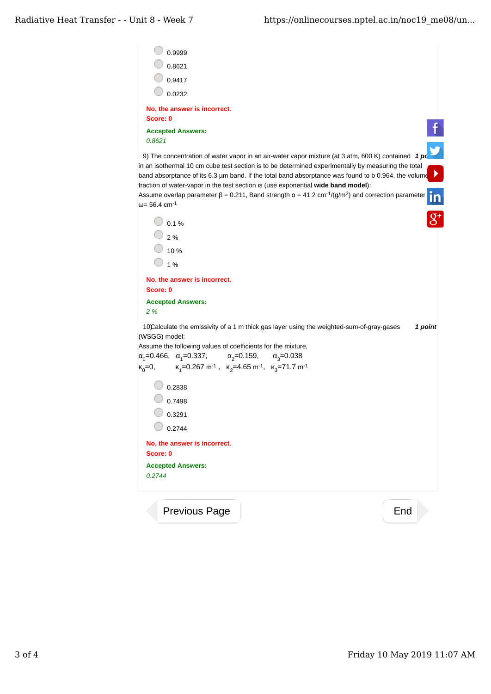| <b>Accepted Answers:</b><br>0.2744                                                                                                                                                                        |         |
|-----------------------------------------------------------------------------------------------------------------------------------------------------------------------------------------------------------|---------|
|                                                                                                                                                                                                           |         |
| No, the answer is incorrect.<br>Score: 0                                                                                                                                                                  |         |
| 0.2744                                                                                                                                                                                                    |         |
| 0.3291                                                                                                                                                                                                    |         |
| $\frac{1}{0.7498}$                                                                                                                                                                                        |         |
| 0.2838                                                                                                                                                                                                    |         |
| $K_1$ =0.267 m <sup>-1</sup> , $K_2$ =4.65 m <sup>-1</sup> , $K_3$ =71.7 m <sup>-1</sup><br>$K_0 = 0$ ,                                                                                                   |         |
| $\alpha_0 = 0.466$ , $\alpha_1 = 0.337$ , $\alpha_2 = 0.159$ , $\alpha_3 = 0.038$                                                                                                                         |         |
| Assume the following values of coefficients for the mixture,                                                                                                                                              |         |
| 10Calculate the emissivity of a 1 m thick gas layer using the weighted-sum-of-gray-gases<br>(WSGG) model:                                                                                                 | 1 point |
| 2 %                                                                                                                                                                                                       |         |
| <b>Accepted Answers:</b>                                                                                                                                                                                  |         |
| No, the answer is incorrect.<br>Score: 0                                                                                                                                                                  |         |
| 1 %                                                                                                                                                                                                       |         |
| 10%                                                                                                                                                                                                       |         |
| 2%                                                                                                                                                                                                        |         |
| $0.1\%$                                                                                                                                                                                                   |         |
|                                                                                                                                                                                                           |         |
| Assume overlap parameter $\beta$ = 0.211, Band strength $\alpha$ = 41.2 cm <sup>-1</sup> /(g/m <sup>2</sup> ) and correction parameter<br>$\omega$ = 56.4 cm <sup>-1</sup>                                |         |
| fraction of water-vapor in the test section is (use exponential wide band model):                                                                                                                         |         |
| in an isothermal 10 cm cube test section is to be determined experimentally by measuring the total<br>band absorptance of its 6.3 µm band. If the total band absorptance was found to b 0.964, the volume | ▶       |
| 9) The concentration of water vapor in an air-water vapor mixture (at 3 atm, 600 K) contained 1 $pc$                                                                                                      |         |
| 0.8621                                                                                                                                                                                                    |         |
| Score: 0<br><b>Accepted Answers:</b>                                                                                                                                                                      |         |
| No, the answer is incorrect.                                                                                                                                                                              |         |
| 0.0232                                                                                                                                                                                                    |         |
| 0.9417                                                                                                                                                                                                    |         |
| 0.8621                                                                                                                                                                                                    |         |
|                                                                                                                                                                                                           |         |

Previous Page National According End